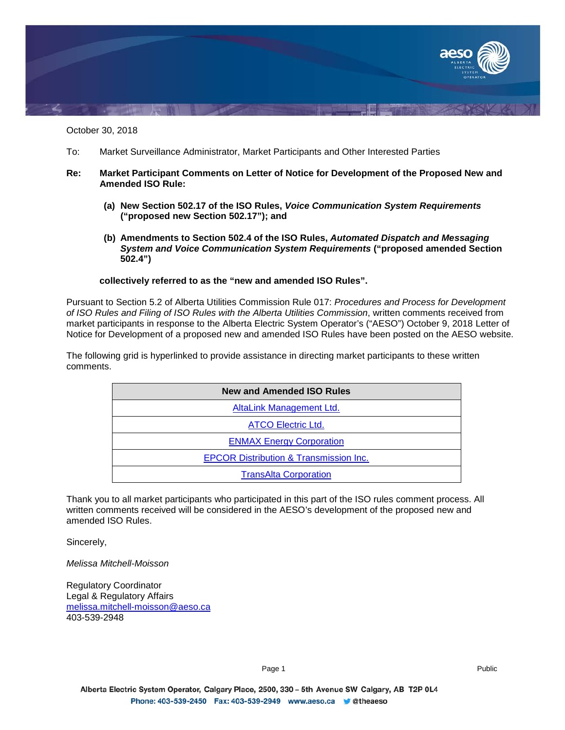

October 30, 2018

- To: Market Surveillance Administrator, Market Participants and Other Interested Parties
- **Re: Market Participant Comments on Letter of Notice for Development of the Proposed New and Amended ISO Rule:**
	- **(a) New Section 502.17 of the ISO Rules,** *Voice Communication System Requirements* **("proposed new Section 502.17"); and**
	- **(b) Amendments to Section 502.4 of the ISO Rules,** *Automated Dispatch and Messaging System and Voice Communication System Requirements* **("proposed amended Section 502.4")**

## **collectively referred to as the "new and amended ISO Rules".**

Pursuant to Section 5.2 of Alberta Utilities Commission Rule 017: *Procedures and Process for Development of ISO Rules and Filing of ISO Rules with the Alberta Utilities Commission*, written comments received from market participants in response to the Alberta Electric System Operator's ("AESO") October 9, 2018 Letter of Notice for Development of a proposed new and amended ISO Rules have been posted on the AESO website.

The following grid is hyperlinked to provide assistance in directing market participants to these written comments.

| <b>New and Amended ISO Rules</b>                  |
|---------------------------------------------------|
| AltaLink Management Ltd.                          |
| <b>ATCO Electric Ltd.</b>                         |
| <b>ENMAX Energy Corporation</b>                   |
| <b>EPCOR Distribution &amp; Transmission Inc.</b> |
| <b>TransAlta Corporation</b>                      |

Thank you to all market participants who participated in this part of the ISO rules comment process. All written comments received will be considered in the AESO's development of the proposed new and amended ISO Rules.

Sincerely,

*Melissa Mitchell-Moisson*

Regulatory Coordinator Legal & Regulatory Affairs [melissa.mitchell-moisson@aeso.ca](mailto:melissa.mitchell-moisson@aeso.ca) 403-539-2948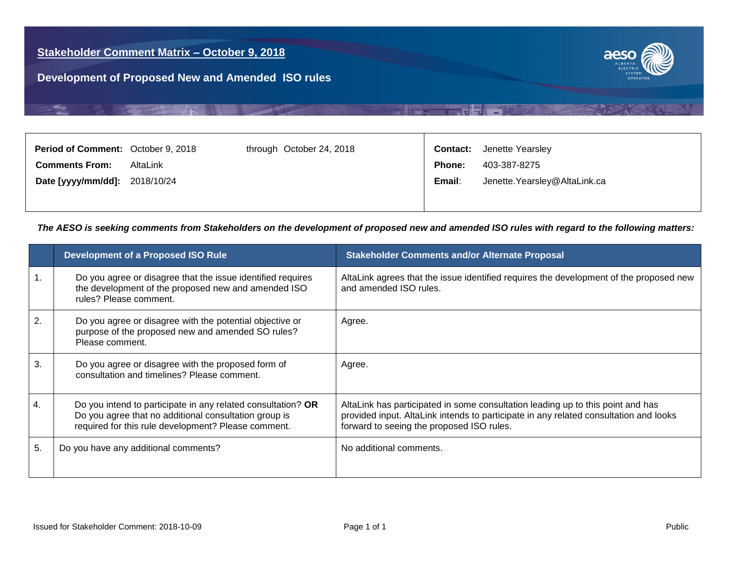大職人



<span id="page-1-0"></span>

| 403-387-8275<br><b>Comments From:</b><br>AltaLink<br><b>Phone:</b>      |  |
|-------------------------------------------------------------------------|--|
|                                                                         |  |
| Jenette.Yearsley@AltaLink.ca<br>Date [yyyy/mm/dd]: 2018/10/24<br>Email: |  |
|                                                                         |  |

**NEW REAL PROPERTY** 

|    | <b>Development of a Proposed ISO Rule</b>                                                                                                                                    | <b>Stakeholder Comments and/or Alternate Proposal</b>                                                                                                                                                                 |
|----|------------------------------------------------------------------------------------------------------------------------------------------------------------------------------|-----------------------------------------------------------------------------------------------------------------------------------------------------------------------------------------------------------------------|
|    | Do you agree or disagree that the issue identified requires<br>the development of the proposed new and amended ISO<br>rules? Please comment.                                 | AltaLink agrees that the issue identified requires the development of the proposed new<br>and amended ISO rules.                                                                                                      |
| 2. | Do you agree or disagree with the potential objective or<br>purpose of the proposed new and amended SO rules?<br>Please comment.                                             | Agree.                                                                                                                                                                                                                |
| 3. | Do you agree or disagree with the proposed form of<br>consultation and timelines? Please comment.                                                                            | Agree.                                                                                                                                                                                                                |
| 4. | Do you intend to participate in any related consultation? OR<br>Do you agree that no additional consultation group is<br>required for this rule development? Please comment. | AltaLink has participated in some consultation leading up to this point and has<br>provided input. AltaLink intends to participate in any related consultation and looks<br>forward to seeing the proposed ISO rules. |
| 5. | Do you have any additional comments?                                                                                                                                         | No additional comments.                                                                                                                                                                                               |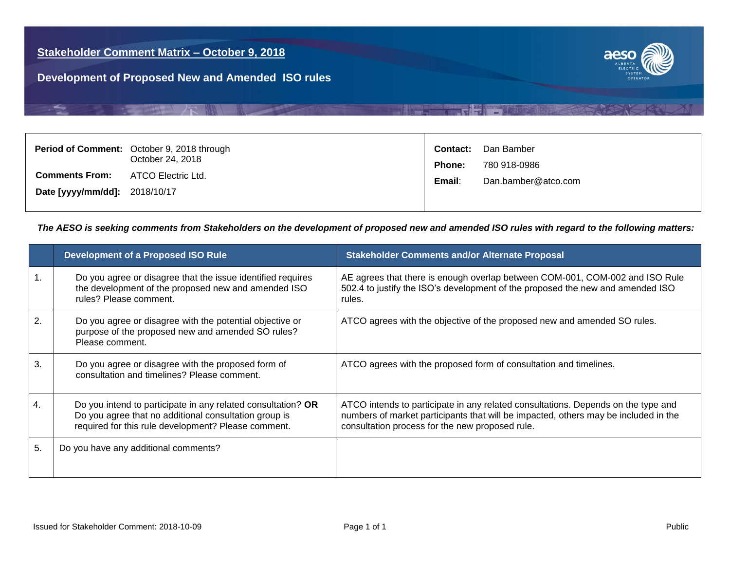大職人



<span id="page-2-0"></span>

|                                                        | Period of Comment: October 9, 2018 through<br>October 24, 2018 | <b>Contact:</b><br><b>Phone:</b> | Dan Bamber<br>780 918-0986 |
|--------------------------------------------------------|----------------------------------------------------------------|----------------------------------|----------------------------|
| <b>Comments From:</b><br>Date [yyyy/mm/dd]: 2018/10/17 | ATCO Electric Ltd.                                             | Email:                           | Dan.bamber@atco.com        |
|                                                        |                                                                |                                  |                            |

**REFERENCE** 

|    | <b>Development of a Proposed ISO Rule</b>                                                                                                                                    | <b>Stakeholder Comments and/or Alternate Proposal</b>                                                                                                                                                                       |
|----|------------------------------------------------------------------------------------------------------------------------------------------------------------------------------|-----------------------------------------------------------------------------------------------------------------------------------------------------------------------------------------------------------------------------|
|    | Do you agree or disagree that the issue identified requires<br>the development of the proposed new and amended ISO<br>rules? Please comment.                                 | AE agrees that there is enough overlap between COM-001, COM-002 and ISO Rule<br>502.4 to justify the ISO's development of the proposed the new and amended ISO<br>rules.                                                    |
| 2. | Do you agree or disagree with the potential objective or<br>purpose of the proposed new and amended SO rules?<br>Please comment.                                             | ATCO agrees with the objective of the proposed new and amended SO rules.                                                                                                                                                    |
| 3. | Do you agree or disagree with the proposed form of<br>consultation and timelines? Please comment.                                                                            | ATCO agrees with the proposed form of consultation and timelines.                                                                                                                                                           |
| 4. | Do you intend to participate in any related consultation? OR<br>Do you agree that no additional consultation group is<br>required for this rule development? Please comment. | ATCO intends to participate in any related consultations. Depends on the type and<br>numbers of market participants that will be impacted, others may be included in the<br>consultation process for the new proposed rule. |
| 5. | Do you have any additional comments?                                                                                                                                         |                                                                                                                                                                                                                             |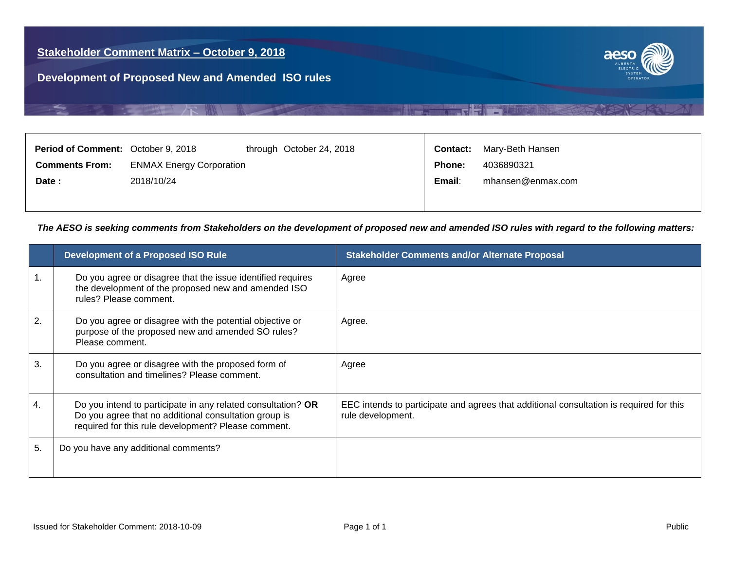**TALLER MALL** 



<span id="page-3-0"></span>

| <b>Period of Comment:</b> October 9, 2018 |                                 | through October 24, 2018 |               | <b>Contact:</b> Mary-Beth Hansen |
|-------------------------------------------|---------------------------------|--------------------------|---------------|----------------------------------|
| <b>Comments From:</b>                     | <b>ENMAX Energy Corporation</b> |                          | <b>Phone:</b> | 4036890321                       |
| Date:                                     | 2018/10/24                      |                          | Email:        | mhansen@enmax.com                |
|                                           |                                 |                          |               |                                  |

**BEEF REPORTED** 

|    | <b>Development of a Proposed ISO Rule</b>                                                                                                                                    | <b>Stakeholder Comments and/or Alternate Proposal</b>                                                        |
|----|------------------------------------------------------------------------------------------------------------------------------------------------------------------------------|--------------------------------------------------------------------------------------------------------------|
| 1. | Do you agree or disagree that the issue identified requires<br>the development of the proposed new and amended ISO<br>rules? Please comment.                                 | Agree                                                                                                        |
| 2. | Do you agree or disagree with the potential objective or<br>purpose of the proposed new and amended SO rules?<br>Please comment.                                             | Agree.                                                                                                       |
| 3. | Do you agree or disagree with the proposed form of<br>consultation and timelines? Please comment.                                                                            | Agree                                                                                                        |
| 4. | Do you intend to participate in any related consultation? OR<br>Do you agree that no additional consultation group is<br>required for this rule development? Please comment. | EEC intends to participate and agrees that additional consultation is required for this<br>rule development. |
| 5. | Do you have any additional comments?                                                                                                                                         |                                                                                                              |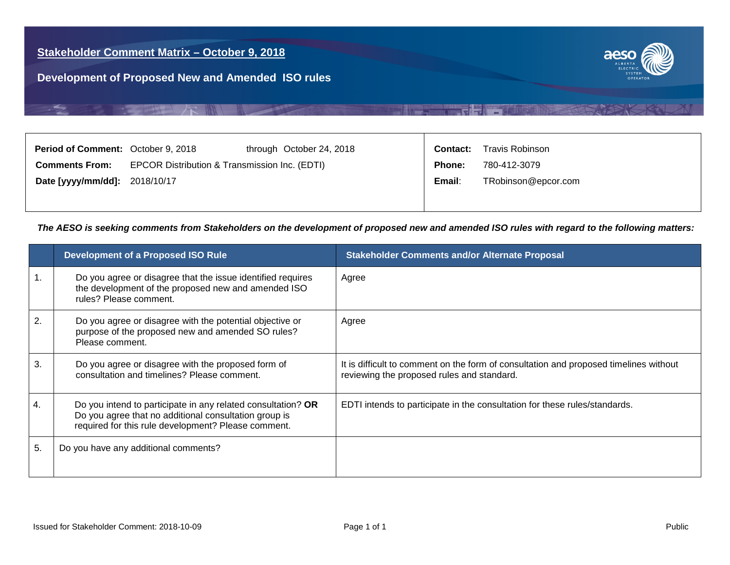一 晚



<span id="page-4-0"></span>

| <b>Period of Comment: October 9, 2018</b> |                                               | through October 24, 2018 | Contact:      | Travis Robinson     |
|-------------------------------------------|-----------------------------------------------|--------------------------|---------------|---------------------|
| <b>Comments From:</b>                     | EPCOR Distribution & Transmission Inc. (EDTI) |                          | <b>Phone:</b> | 780-412-3079        |
| Date [yyyy/mm/dd]: 2018/10/17             |                                               |                          | Email:        | TRobinson@epcor.com |
|                                           |                                               |                          |               |                     |

**NEW REACTION** 

|    | <b>Development of a Proposed ISO Rule</b>                                                                                                                                    | <b>Stakeholder Comments and/or Alternate Proposal</b>                                                                               |
|----|------------------------------------------------------------------------------------------------------------------------------------------------------------------------------|-------------------------------------------------------------------------------------------------------------------------------------|
|    | Do you agree or disagree that the issue identified requires<br>the development of the proposed new and amended ISO<br>rules? Please comment.                                 | Agree                                                                                                                               |
| 2. | Do you agree or disagree with the potential objective or<br>purpose of the proposed new and amended SO rules?<br>Please comment.                                             | Agree                                                                                                                               |
| 3. | Do you agree or disagree with the proposed form of<br>consultation and timelines? Please comment.                                                                            | It is difficult to comment on the form of consultation and proposed timelines without<br>reviewing the proposed rules and standard. |
|    | Do you intend to participate in any related consultation? OR<br>Do you agree that no additional consultation group is<br>required for this rule development? Please comment. | EDTI intends to participate in the consultation for these rules/standards.                                                          |
| 5. | Do you have any additional comments?                                                                                                                                         |                                                                                                                                     |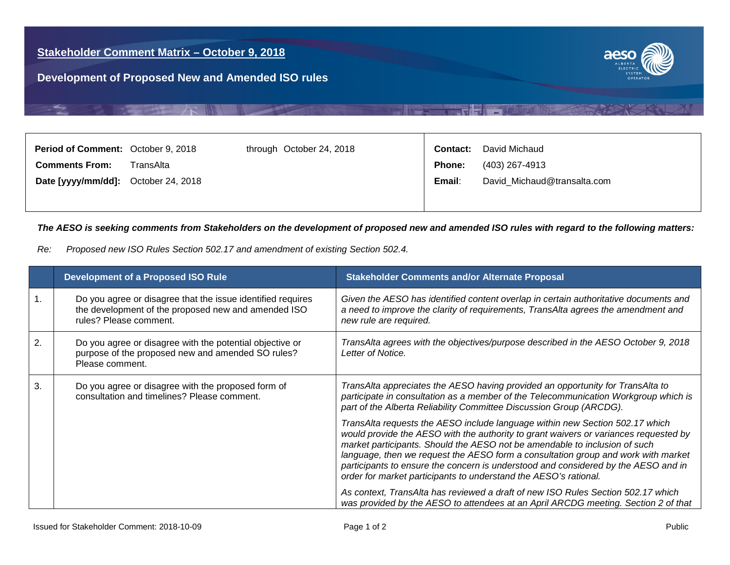一个嘴



<span id="page-5-0"></span>

| Period of Comment: October 9, 2018  |           | through October 24, 2018 | <b>Contact:</b> | David Michaud               |
|-------------------------------------|-----------|--------------------------|-----------------|-----------------------------|
| <b>Comments From:</b>               | TransAlta |                          | <b>Phone:</b>   | (403) 267-4913              |
| Date [yyyy/mm/dd]: October 24, 2018 |           |                          | Email:          | David_Michaud@transalta.com |
|                                     |           |                          |                 |                             |

**NEW REPORT AND** 

| Re: |  |  |  | Proposed new ISO Rules Section 502.17 and amendment of existing Section 502.4. |
|-----|--|--|--|--------------------------------------------------------------------------------|
|-----|--|--|--|--------------------------------------------------------------------------------|

|    | <b>Development of a Proposed ISO Rule</b>                                                                                                    | <b>Stakeholder Comments and/or Alternate Proposal</b>                                                                                                                                                                                                                                                                                                                                                                                                                                             |
|----|----------------------------------------------------------------------------------------------------------------------------------------------|---------------------------------------------------------------------------------------------------------------------------------------------------------------------------------------------------------------------------------------------------------------------------------------------------------------------------------------------------------------------------------------------------------------------------------------------------------------------------------------------------|
|    | Do you agree or disagree that the issue identified requires<br>the development of the proposed new and amended ISO<br>rules? Please comment. | Given the AESO has identified content overlap in certain authoritative documents and<br>a need to improve the clarity of requirements, TransAlta agrees the amendment and<br>new rule are required.                                                                                                                                                                                                                                                                                               |
| 2. | Do you agree or disagree with the potential objective or<br>purpose of the proposed new and amended SO rules?<br>Please comment.             | TransAlta agrees with the objectives/purpose described in the AESO October 9, 2018<br>Letter of Notice.                                                                                                                                                                                                                                                                                                                                                                                           |
| 3. | Do you agree or disagree with the proposed form of<br>consultation and timelines? Please comment.                                            | TransAlta appreciates the AESO having provided an opportunity for TransAlta to<br>participate in consultation as a member of the Telecommunication Workgroup which is<br>part of the Alberta Reliability Committee Discussion Group (ARCDG).                                                                                                                                                                                                                                                      |
|    |                                                                                                                                              | TransAlta requests the AESO include language within new Section 502.17 which<br>would provide the AESO with the authority to grant waivers or variances requested by<br>market participants. Should the AESO not be amendable to inclusion of such<br>language, then we request the AESO form a consultation group and work with market<br>participants to ensure the concern is understood and considered by the AESO and in<br>order for market participants to understand the AESO's rational. |
|    |                                                                                                                                              | As context, TransAlta has reviewed a draft of new ISO Rules Section 502.17 which<br>was provided by the AESO to attendees at an April ARCDG meeting. Section 2 of that                                                                                                                                                                                                                                                                                                                            |